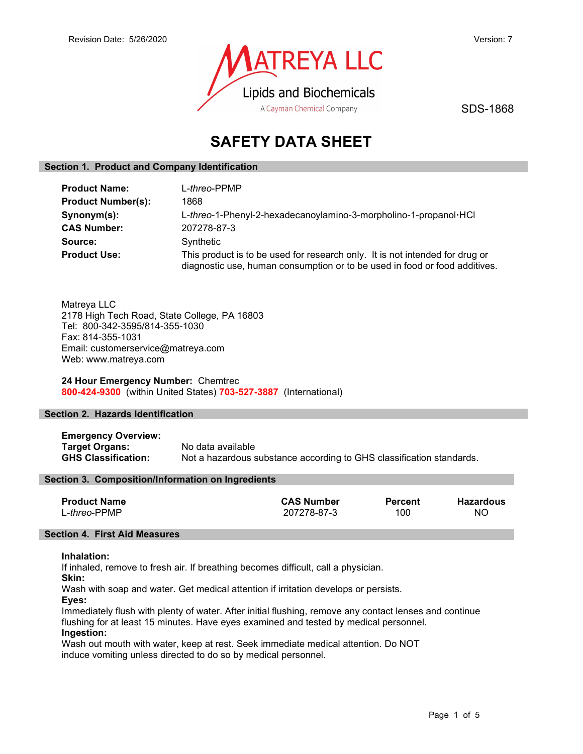

SDS-1868

# SAFETY DATA SHEET

# Section 1. Product and Company Identification

| <b>Product Name:</b>      | L-threo-PPMP                                                                                                                                               |  |
|---------------------------|------------------------------------------------------------------------------------------------------------------------------------------------------------|--|
| <b>Product Number(s):</b> | 1868                                                                                                                                                       |  |
| Synonym(s):               | L-threo-1-Phenyl-2-hexadecanoylamino-3-morpholino-1-propanol·HCl                                                                                           |  |
| <b>CAS Number:</b>        | 207278-87-3                                                                                                                                                |  |
| Source:                   | Synthetic                                                                                                                                                  |  |
| <b>Product Use:</b>       | This product is to be used for research only. It is not intended for drug or<br>diagnostic use, human consumption or to be used in food or food additives. |  |

Matreya LLC 2178 High Tech Road, State College, PA 16803 Tel: 800-342-3595/814-355-1030 Fax: 814-355-1031 Email: customerservice@matreya.com Web: www.matreya.com

24 Hour Emergency Number: Chemtrec 800-424-9300 (within United States) 703-527-3887 (International)

# Section 2. Hazards Identification

Emergency Overview: Target Organs: No data available GHS Classification: Not a hazardous substance according to GHS classification standards.

#### Section 3. Composition/Information on Ingredients

| <b>Product Name</b>   | <b>CAS Number</b> | <b>Percent</b> | <b>Hazardous</b> |
|-----------------------|-------------------|----------------|------------------|
| L- <i>threo</i> -PPMP | 207278-87-3       | 100            | NC               |

# Section 4. First Aid Measures

#### Inhalation:

If inhaled, remove to fresh air. If breathing becomes difficult, call a physician.

Skin:

Wash with soap and water. Get medical attention if irritation develops or persists.

Eyes:

Immediately flush with plenty of water. After initial flushing, remove any contact lenses and continue flushing for at least 15 minutes. Have eyes examined and tested by medical personnel. Ingestion:

Wash out mouth with water, keep at rest. Seek immediate medical attention. Do NOT induce vomiting unless directed to do so by medical personnel.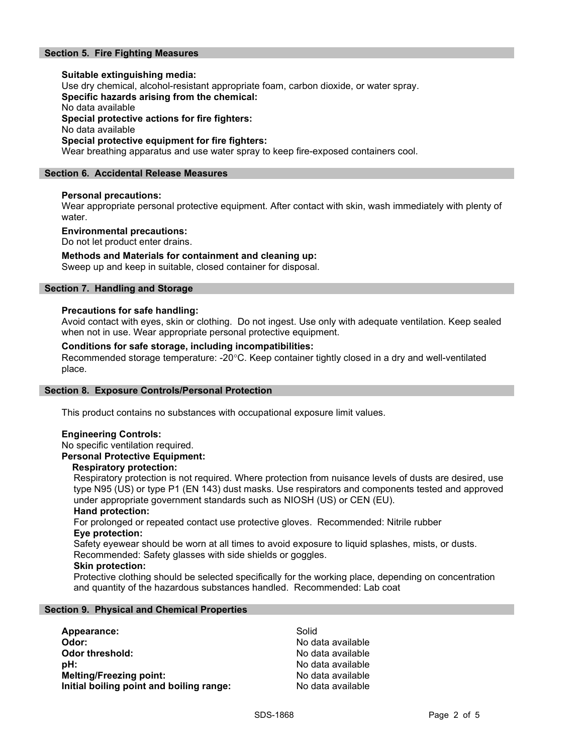# Section 5. Fire Fighting Measures

Suitable extinguishing media: Use dry chemical, alcohol-resistant appropriate foam, carbon dioxide, or water spray. Specific hazards arising from the chemical: No data available Special protective actions for fire fighters: No data available Special protective equipment for fire fighters: Wear breathing apparatus and use water spray to keep fire-exposed containers cool.

#### Section 6. Accidental Release Measures

#### Personal precautions:

Wear appropriate personal protective equipment. After contact with skin, wash immediately with plenty of water.

#### Environmental precautions:

Do not let product enter drains.

#### Methods and Materials for containment and cleaning up:

Sweep up and keep in suitable, closed container for disposal.

# Section 7. Handling and Storage

#### Precautions for safe handling:

Avoid contact with eyes, skin or clothing. Do not ingest. Use only with adequate ventilation. Keep sealed when not in use. Wear appropriate personal protective equipment.

#### Conditions for safe storage, including incompatibilities:

Recommended storage temperature: -20°C. Keep container tightly closed in a dry and well-ventilated place.

#### Section 8. Exposure Controls/Personal Protection

This product contains no substances with occupational exposure limit values.

# Engineering Controls:

No specific ventilation required.

# Personal Protective Equipment:

#### Respiratory protection:

Respiratory protection is not required. Where protection from nuisance levels of dusts are desired, use type N95 (US) or type P1 (EN 143) dust masks. Use respirators and components tested and approved under appropriate government standards such as NIOSH (US) or CEN (EU).

#### Hand protection:

For prolonged or repeated contact use protective gloves. Recommended: Nitrile rubber Eye protection:

Safety eyewear should be worn at all times to avoid exposure to liquid splashes, mists, or dusts. Recommended: Safety glasses with side shields or goggles.

#### Skin protection:

Protective clothing should be selected specifically for the working place, depending on concentration and quantity of the hazardous substances handled. Recommended: Lab coat

#### Section 9. Physical and Chemical Properties

| Appearance:                              | Solid             |
|------------------------------------------|-------------------|
| Odor:                                    | No data available |
| Odor threshold:                          | No data available |
| :bH                                      | No data available |
| <b>Melting/Freezing point:</b>           | No data available |
| Initial boiling point and boiling range: | No data available |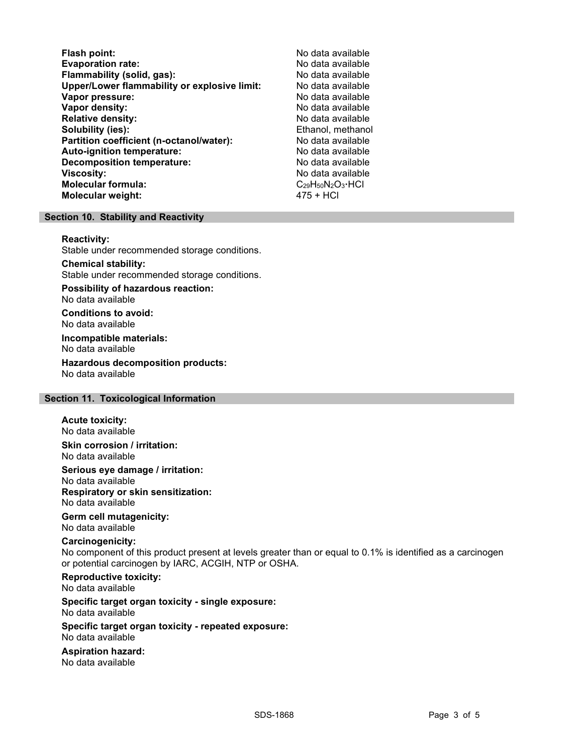Flash point: No data available Evaporation rate:<br>
Flammability (solid. gas): No data available Flammability (solid, gas): Upper/Lower flammability or explosive limit: No data available Vapor pressure: No data available **Vapor density:** No data available in the set of the set of the No data available Relative density: No data available Solubility (ies): Ethanol, methanol Partition coefficient (n-octanol/water): No data available Auto-ignition temperature: No data available Decomposition temperature: **Viscosity:** No data available and the set of the set of the set of the set of the set of the set of the set of the set of the set of the set of the set of the set of the set of the set of the set of the set of the set of Molecular formula:  $\begin{array}{ccc}\n\text{Molecular formula:} \\
\text{Molecular weight:} \\
\end{array}$ Molecular weight:

# Section 10. Stability and Reactivity

#### Reactivity:

Stable under recommended storage conditions.

#### Chemical stability: Stable under recommended storage conditions.

Possibility of hazardous reaction: No data available

Conditions to avoid: No data available

Incompatible materials: No data available

Hazardous decomposition products: No data available

# Section 11. Toxicological Information

#### Acute toxicity:

No data available Skin corrosion / irritation:

No data available

Serious eye damage / irritation:

No data available Respiratory or skin sensitization: No data available

# Germ cell mutagenicity:

No data available

# Carcinogenicity:

No component of this product present at levels greater than or equal to 0.1% is identified as a carcinogen or potential carcinogen by IARC, ACGIH, NTP or OSHA.

Reproductive toxicity: No data available

Specific target organ toxicity - single exposure: No data available

#### Specific target organ toxicity - repeated exposure: No data available

Aspiration hazard: No data available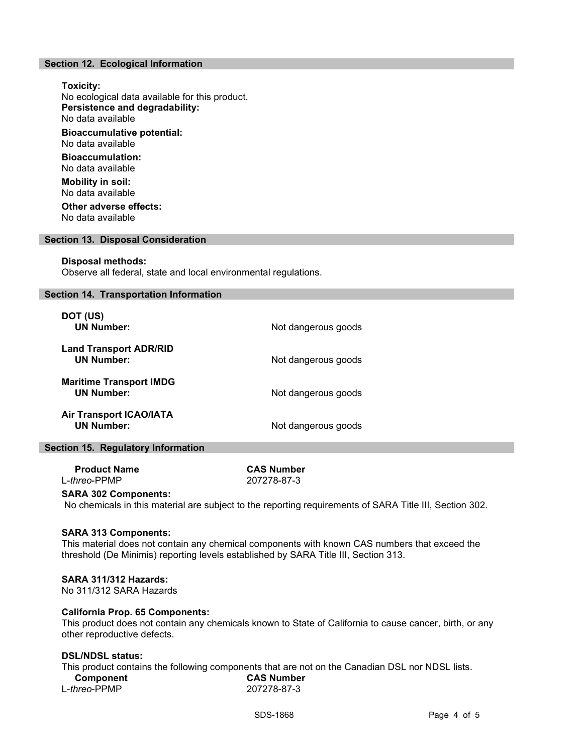# Section 12. Ecological Information

Toxicity: No ecological data available for this product. Persistence and degradability: No data available Bioaccumulative potential: No data available Bioaccumulation: No data available Mobility in soil: No data available Other adverse effects:

No data available

#### Section 13. Disposal Consideration

#### Disposal methods:

Observe all federal, state and local environmental regulations.

#### Section 14. Transportation Information

| DOT (US)<br><b>UN Number:</b>                       | Not dangerous goods |
|-----------------------------------------------------|---------------------|
| <b>Land Transport ADR/RID</b><br><b>UN Number:</b>  | Not dangerous goods |
| <b>Maritime Transport IMDG</b><br><b>UN Number:</b> | Not dangerous goods |
| <b>Air Transport ICAO/IATA</b><br><b>UN Number:</b> | Not dangerous goods |

#### Section 15. Regulatory Information

Product Name CAS Number L-threo-PPMP 207278-87-3

#### SARA 302 Components:

No chemicals in this material are subject to the reporting requirements of SARA Title III, Section 302.

#### SARA 313 Components:

This material does not contain any chemical components with known CAS numbers that exceed the threshold (De Minimis) reporting levels established by SARA Title III, Section 313.

#### SARA 311/312 Hazards:

No 311/312 SARA Hazards

#### California Prop. 65 Components:

This product does not contain any chemicals known to State of California to cause cancer, birth, or any other reproductive defects.

#### DSL/NDSL status:

This product contains the following components that are not on the Canadian DSL nor NDSL lists. Component CAS Number L-threo-PPMP 207278-87-3